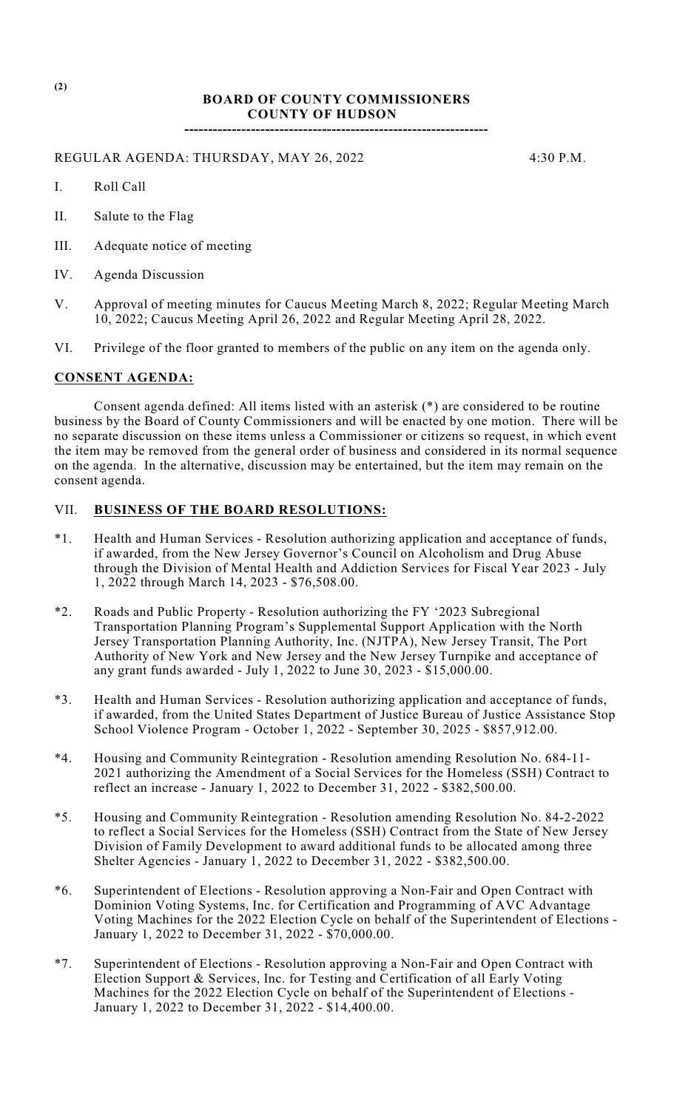## **BOARD OF COUNTY COMMISSIONERS COUNTY OF HUDSON**

**----------------------------------------------------------------**

REGULAR AGENDA: THURSDAY, MAY 26, 2022 4:30 P.M.

- I. Roll Call
- II. Salute to the Flag
- III. Adequate notice of meeting
- IV. Agenda Discussion
- V. Approval of meeting minutes for Caucus Meeting March 8, 2022; Regular Meeting March 10, 2022; Caucus Meeting April 26, 2022 and Regular Meeting April 28, 2022.
- VI. Privilege of the floor granted to members of the public on any item on the agenda only.

## **CONSENT AGENDA:**

Consent agenda defined: All items listed with an asterisk (\*) are considered to be routine business by the Board of County Commissioners and will be enacted by one motion. There will be no separate discussion on these items unless a Commissioner or citizens so request, in which event the item may be removed from the general order of business and considered in its normal sequence on the agenda. In the alternative, discussion may be entertained, but the item may remain on the consent agenda.

## VII. **BUSINESS OF THE BOARD RESOLUTIONS:**

- \*1. Health and Human Services Resolution authorizing application and acceptance of funds, if awarded, from the New Jersey Governor's Council on Alcoholism and Drug Abuse through the Division of Mental Health and Addiction Services for Fiscal Year 2023 - July 1, 2022 through March 14, 2023 - \$76,508.00.
- \*2. Roads and Public Property Resolution authorizing the FY '2023 Subregional Transportation Planning Program's Supplemental Support Application with the North Jersey Transportation Planning Authority, Inc. (NJTPA), New Jersey Transit, The Port Authority of New York and New Jersey and the New Jersey Turnpike and acceptance of any grant funds awarded - July 1, 2022 to June 30, 2023 - \$15,000.00.
- \*3. Health and Human Services Resolution authorizing application and acceptance of funds, if awarded, from the United States Department of Justice Bureau of Justice Assistance Stop School Violence Program - October 1, 2022 - September 30, 2025 - \$857,912.00.
- \*4. Housing and Community Reintegration Resolution amending Resolution No. 684-11- 2021 authorizing the Amendment of a Social Services for the Homeless (SSH) Contract to reflect an increase - January 1, 2022 to December 31, 2022 - \$382,500.00.
- \*5. Housing and Community Reintegration Resolution amending Resolution No. 84-2-2022 to reflect a Social Services for the Homeless (SSH) Contract from the State of New Jersey Division of Family Development to award additional funds to be allocated among three Shelter Agencies - January 1, 2022 to December 31, 2022 - \$382,500.00.
- \*6. Superintendent of Elections Resolution approving a Non-Fair and Open Contract with Dominion Voting Systems, Inc. for Certification and Programming of AVC Advantage Voting Machines for the 2022 Election Cycle on behalf of the Superintendent of Elections - January 1, 2022 to December 31, 2022 - \$70,000.00.
- \*7. Superintendent of Elections Resolution approving a Non-Fair and Open Contract with Election Support & Services, Inc. for Testing and Certification of all Early Voting Machines for the 2022 Election Cycle on behalf of the Superintendent of Elections - January 1, 2022 to December 31, 2022 - \$14,400.00.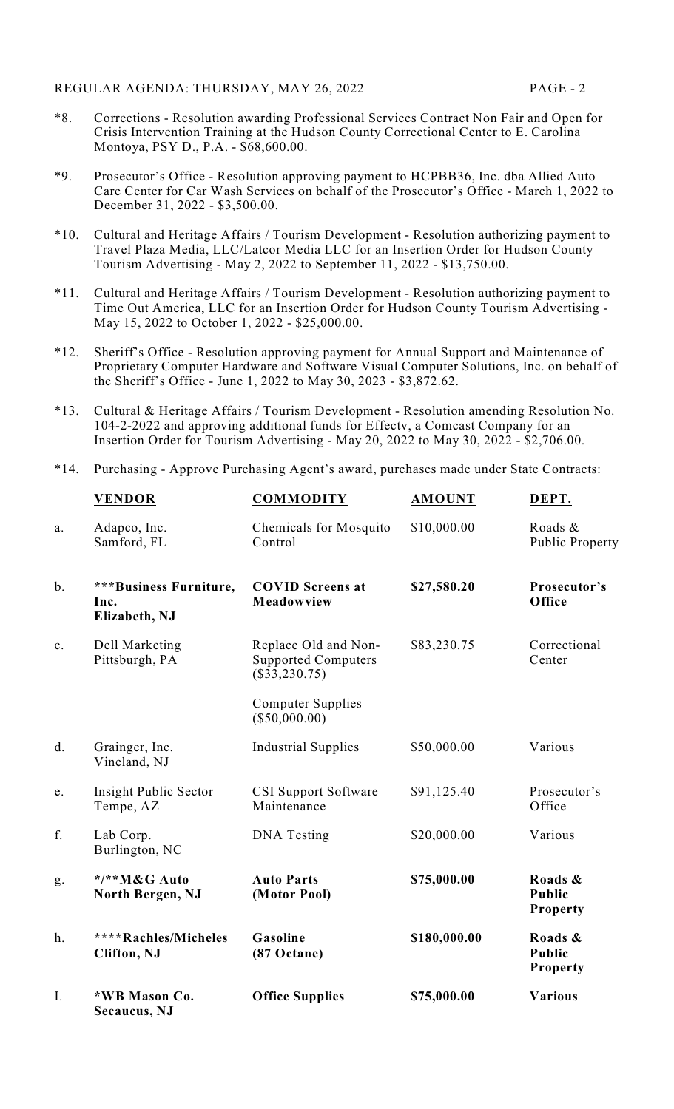- \*8. Corrections Resolution awarding Professional Services Contract Non Fair and Open for Crisis Intervention Training at the Hudson County Correctional Center to E. Carolina Montoya, PSY D., P.A. - \$68,600.00.
- \*9. Prosecutor's Office Resolution approving payment to HCPBB36, Inc. dba Allied Auto Care Center for Car Wash Services on behalf of the Prosecutor's Office - March 1, 2022 to December 31, 2022 - \$3,500.00.
- \*10. Cultural and Heritage Affairs / Tourism Development Resolution authorizing payment to Travel Plaza Media, LLC/Latcor Media LLC for an Insertion Order for Hudson County Tourism Advertising - May 2, 2022 to September 11, 2022 - \$13,750.00.
- \*11. Cultural and Heritage Affairs / Tourism Development Resolution authorizing payment to Time Out America, LLC for an Insertion Order for Hudson County Tourism Advertising - May 15, 2022 to October 1, 2022 - \$25,000.00.
- \*12. Sheriff's Office Resolution approving payment for Annual Support and Maintenance of Proprietary Computer Hardware and Software Visual Computer Solutions, Inc. on behalf of the Sheriff's Office - June 1, 2022 to May 30, 2023 - \$3,872.62.
- \*13. Cultural & Heritage Affairs / Tourism Development Resolution amending Resolution No. 104-2-2022 and approving additional funds for Effectv, a Comcast Company for an Insertion Order for Tourism Advertising - May 20, 2022 to May 30, 2022 - \$2,706.00.
- \*14. Purchasing Approve Purchasing Agent's award, purchases made under State Contracts:

|       | <b>VENDOR</b>                                   | <b>COMMODITY</b>                                                      | <b>AMOUNT</b> | DEPT.                                       |
|-------|-------------------------------------------------|-----------------------------------------------------------------------|---------------|---------------------------------------------|
| a.    | Adapco, Inc.<br>Samford, FL                     | Chemicals for Mosquito<br>Control                                     | \$10,000.00   | Roads &<br><b>Public Property</b>           |
| $b$ . | ***Business Furniture,<br>Inc.<br>Elizabeth, NJ | <b>COVID Screens at</b><br>Meadowview                                 | \$27,580.20   | Prosecutor's<br>Office                      |
| c.    | Dell Marketing<br>Pittsburgh, PA                | Replace Old and Non-<br><b>Supported Computers</b><br>$(\$33,230.75)$ | \$83,230.75   | Correctional<br>Center                      |
|       |                                                 | <b>Computer Supplies</b><br>$(\$50,000.00)$                           |               |                                             |
| d.    | Grainger, Inc.<br>Vineland, NJ                  | <b>Industrial Supplies</b>                                            | \$50,000.00   | Various                                     |
| e.    | Insight Public Sector<br>Tempe, AZ              | <b>CSI Support Software</b><br>Maintenance                            | \$91,125.40   | Prosecutor's<br>Office                      |
| f.    | Lab Corp.<br>Burlington, NC                     | <b>DNA</b> Testing                                                    | \$20,000.00   | Various                                     |
| g.    | */**M&G Auto<br>North Bergen, NJ                | <b>Auto Parts</b><br>(Motor Pool)                                     | \$75,000.00   | Roads &<br><b>Public</b><br><b>Property</b> |
| h.    | ****Rachles/Micheles<br><b>Clifton</b> , NJ     | Gasoline<br>(87 Octane)                                               | \$180,000.00  | Roads &<br><b>Public</b><br><b>Property</b> |
| Ι.    | *WB Mason Co.<br>Secaucus, NJ                   | <b>Office Supplies</b>                                                | \$75,000.00   | <b>Various</b>                              |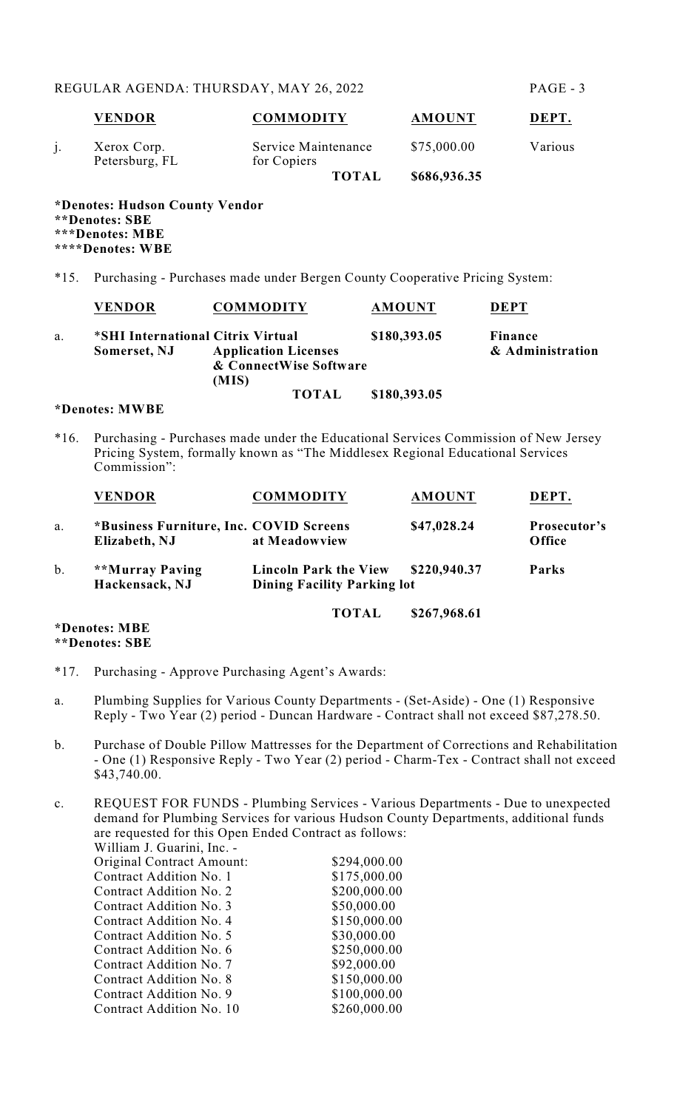| <b>VENDOR</b>                 | <b>COMMODITY</b>                   | <b>AMOUNT</b> | DEPT.   |
|-------------------------------|------------------------------------|---------------|---------|
| Xerox Corp.<br>Petersburg, FL | Service Maintenance<br>for Copiers | \$75,000.00   | Various |
|                               | <b>TOTAL</b>                       | \$686,936.35  |         |

**\*Denotes: Hudson County Vendor \*\*Denotes: SBE \*\*\*Denotes: MBE \*\*\*\*Denotes: WBE**

\*15. Purchasing - Purchases made under Bergen County Cooperative Pricing System:

|    | <b>VENDOR</b>                     | <b>COMMODITY</b>            | <b>AMOUNT</b> | <b>DEPT</b>      |
|----|-----------------------------------|-----------------------------|---------------|------------------|
| a. | *SHI International Citrix Virtual |                             | \$180,393.05  | Finance          |
|    | Somerset, NJ                      | <b>Application Licenses</b> |               | & Administration |
|    |                                   | & ConnectWise Software      |               |                  |
|    |                                   | (MIS)                       |               |                  |
|    |                                   | <b>TOTAL</b>                | \$180,393.05  |                  |

**\*Denotes: MWBE**

\*16. Purchasing - Purchases made under the Educational Services Commission of New Jersey Pricing System, formally known as "The Middlesex Regional Educational Services Commission":

|    | <b>VENDOR</b>                                            | <b>COMMODITY</b>                                                                   | <b>AMOUNT</b> | DEPT.                  |
|----|----------------------------------------------------------|------------------------------------------------------------------------------------|---------------|------------------------|
| a. | *Business Furniture, Inc. COVID Screens<br>Elizabeth, NJ | at Meadowview                                                                      | \$47,028.24   | Prosecutor's<br>Office |
| b. | **Murray Paving<br>Hackensack, NJ                        | \$220,940.37<br><b>Lincoln Park the View</b><br><b>Dining Facility Parking lot</b> |               | Parks                  |
|    |                                                          | <b>TOTAL</b>                                                                       | \$267,968.61  |                        |

**\*Denotes: MBE \*\*Denotes: SBE**

- \*17. Purchasing Approve Purchasing Agent's Awards:
- a. Plumbing Supplies for Various County Departments (Set-Aside) One (1) Responsive Reply - Two Year (2) period - Duncan Hardware - Contract shall not exceed \$87,278.50.
- b. Purchase of Double Pillow Mattresses for the Department of Corrections and Rehabilitation - One (1) Responsive Reply - Two Year (2) period - Charm-Tex - Contract shall not exceed \$43,740.00.
- c. REQUEST FOR FUNDS Plumbing Services Various Departments Due to unexpected demand for Plumbing Services for various Hudson County Departments, additional funds are requested for this Open Ended Contract as follows: William J. Guarini, Inc. -

| Original Contract Amount: | \$294,000.00 |
|---------------------------|--------------|
| Contract Addition No. 1   | \$175,000.00 |
| Contract Addition No. 2   | \$200,000.00 |
| Contract Addition No. 3   | \$50,000.00  |
| Contract Addition No. 4   | \$150,000.00 |
| Contract Addition No. 5   | \$30,000.00  |
| Contract Addition No. 6   | \$250,000.00 |
| Contract Addition No. 7   | \$92,000.00  |
| Contract Addition No. 8   | \$150,000.00 |
| Contract Addition No. 9   | \$100,000.00 |
| Contract Addition No. 10  | \$260,000.00 |